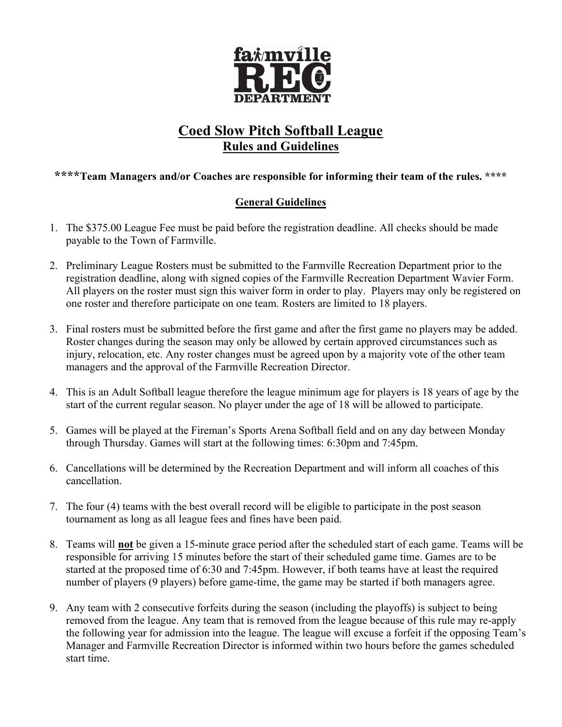

# Coed Slow Pitch Softball League Rules and Guidelines

### \*\*\*\*Team Managers and/or Coaches are responsible for informing their team of the rules. \*\*\*\*

## General Guidelines

- 1. The \$375.00 League Fee must be paid before the registration deadline. All checks should be made payable to the Town of Farmville.
- 2. Preliminary League Rosters must be submitted to the Farmville Recreation Department prior to the registration deadline, along with signed copies of the Farmville Recreation Department Wavier Form. All players on the roster must sign this waiver form in order to play. Players may only be registered on one roster and therefore participate on one team. Rosters are limited to 18 players.
- 3. Final rosters must be submitted before the first game and after the first game no players may be added. Roster changes during the season may only be allowed by certain approved circumstances such as injury, relocation, etc. Any roster changes must be agreed upon by a majority vote of the other team managers and the approval of the Farmville Recreation Director.
- 4. This is an Adult Softball league therefore the league minimum age for players is 18 years of age by the start of the current regular season. No player under the age of 18 will be allowed to participate.
- 5. Games will be played at the Fireman's Sports Arena Softball field and on any day between Monday through Thursday. Games will start at the following times: 6:30pm and 7:45pm.
- 6. Cancellations will be determined by the Recreation Department and will inform all coaches of this cancellation.
- 7. The four (4) teams with the best overall record will be eligible to participate in the post season tournament as long as all league fees and fines have been paid.
- 8. Teams will not be given a 15-minute grace period after the scheduled start of each game. Teams will be responsible for arriving 15 minutes before the start of their scheduled game time. Games are to be started at the proposed time of 6:30 and 7:45pm. However, if both teams have at least the required number of players (9 players) before game-time, the game may be started if both managers agree.
- 9. Any team with 2 consecutive forfeits during the season (including the playoffs) is subject to being removed from the league. Any team that is removed from the league because of this rule may re-apply the following year for admission into the league. The league will excuse a forfeit if the opposing Team's Manager and Farmville Recreation Director is informed within two hours before the games scheduled start time.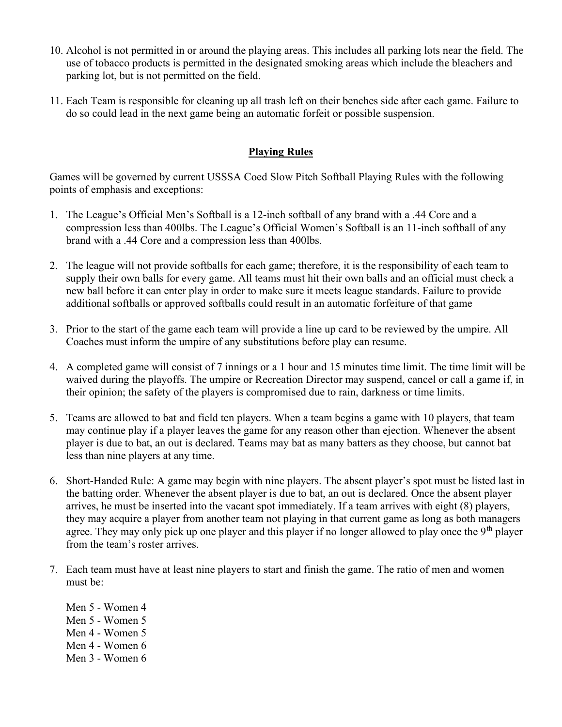- 10. Alcohol is not permitted in or around the playing areas. This includes all parking lots near the field. The use of tobacco products is permitted in the designated smoking areas which include the bleachers and parking lot, but is not permitted on the field.
- 11. Each Team is responsible for cleaning up all trash left on their benches side after each game. Failure to do so could lead in the next game being an automatic forfeit or possible suspension.

#### Playing Rules

Games will be governed by current USSSA Coed Slow Pitch Softball Playing Rules with the following points of emphasis and exceptions:

- 1. The League's Official Men's Softball is a 12-inch softball of any brand with a .44 Core and a compression less than 400lbs. The League's Official Women's Softball is an 11-inch softball of any brand with a .44 Core and a compression less than 400lbs.
- 2. The league will not provide softballs for each game; therefore, it is the responsibility of each team to supply their own balls for every game. All teams must hit their own balls and an official must check a new ball before it can enter play in order to make sure it meets league standards. Failure to provide additional softballs or approved softballs could result in an automatic forfeiture of that game
- 3. Prior to the start of the game each team will provide a line up card to be reviewed by the umpire. All Coaches must inform the umpire of any substitutions before play can resume.
- 4. A completed game will consist of 7 innings or a 1 hour and 15 minutes time limit. The time limit will be waived during the playoffs. The umpire or Recreation Director may suspend, cancel or call a game if, in their opinion; the safety of the players is compromised due to rain, darkness or time limits.
- 5. Teams are allowed to bat and field ten players. When a team begins a game with 10 players, that team may continue play if a player leaves the game for any reason other than ejection. Whenever the absent player is due to bat, an out is declared. Teams may bat as many batters as they choose, but cannot bat less than nine players at any time.
- 6. Short-Handed Rule: A game may begin with nine players. The absent player's spot must be listed last in the batting order. Whenever the absent player is due to bat, an out is declared. Once the absent player arrives, he must be inserted into the vacant spot immediately. If a team arrives with eight (8) players, they may acquire a player from another team not playing in that current game as long as both managers agree. They may only pick up one player and this player if no longer allowed to play once the 9<sup>th</sup> player from the team's roster arrives.
- 7. Each team must have at least nine players to start and finish the game. The ratio of men and women must be:
	- Men 5 Women 4 Men 5 - Women 5 Men 4 - Women 5 Men 4 - Women 6 Men 3 - Women 6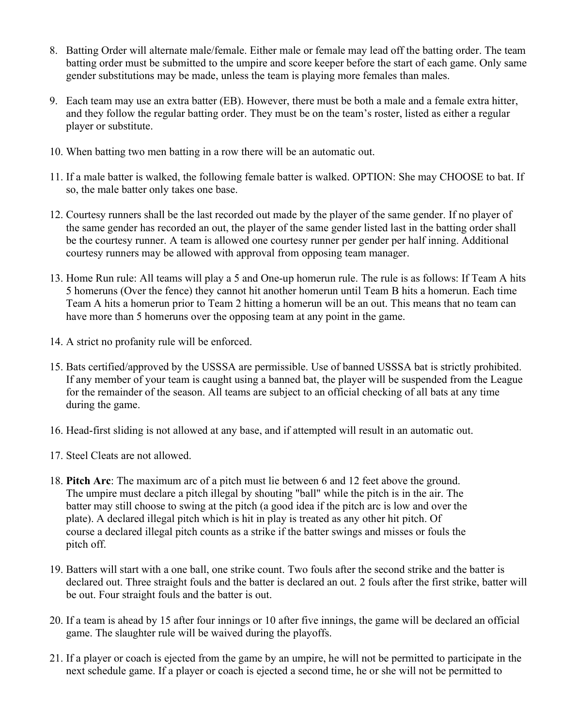- 8. Batting Order will alternate male/female. Either male or female may lead off the batting order. The team batting order must be submitted to the umpire and score keeper before the start of each game. Only same gender substitutions may be made, unless the team is playing more females than males.
- 9. Each team may use an extra batter (EB). However, there must be both a male and a female extra hitter, and they follow the regular batting order. They must be on the team's roster, listed as either a regular player or substitute.
- 10. When batting two men batting in a row there will be an automatic out.
- 11. If a male batter is walked, the following female batter is walked. OPTION: She may CHOOSE to bat. If so, the male batter only takes one base.
- 12. Courtesy runners shall be the last recorded out made by the player of the same gender. If no player of the same gender has recorded an out, the player of the same gender listed last in the batting order shall be the courtesy runner. A team is allowed one courtesy runner per gender per half inning. Additional courtesy runners may be allowed with approval from opposing team manager.
- 13. Home Run rule: All teams will play a 5 and One-up homerun rule. The rule is as follows: If Team A hits 5 homeruns (Over the fence) they cannot hit another homerun until Team B hits a homerun. Each time Team A hits a homerun prior to Team 2 hitting a homerun will be an out. This means that no team can have more than 5 homeruns over the opposing team at any point in the game.
- 14. A strict no profanity rule will be enforced.
- 15. Bats certified/approved by the USSSA are permissible. Use of banned USSSA bat is strictly prohibited. If any member of your team is caught using a banned bat, the player will be suspended from the League for the remainder of the season. All teams are subject to an official checking of all bats at any time during the game.
- 16. Head-first sliding is not allowed at any base, and if attempted will result in an automatic out.
- 17. Steel Cleats are not allowed.
- 18. Pitch Arc: The maximum arc of a pitch must lie between 6 and 12 feet above the ground. The umpire must declare a pitch illegal by shouting "ball" while the pitch is in the air. The batter may still choose to swing at the pitch (a good idea if the pitch arc is low and over the plate). A declared illegal pitch which is hit in play is treated as any other hit pitch. Of course a declared illegal pitch counts as a strike if the batter swings and misses or fouls the pitch off.
- 19. Batters will start with a one ball, one strike count. Two fouls after the second strike and the batter is declared out. Three straight fouls and the batter is declared an out. 2 fouls after the first strike, batter will be out. Four straight fouls and the batter is out.
- 20. If a team is ahead by 15 after four innings or 10 after five innings, the game will be declared an official game. The slaughter rule will be waived during the playoffs.
- 21. If a player or coach is ejected from the game by an umpire, he will not be permitted to participate in the next schedule game. If a player or coach is ejected a second time, he or she will not be permitted to